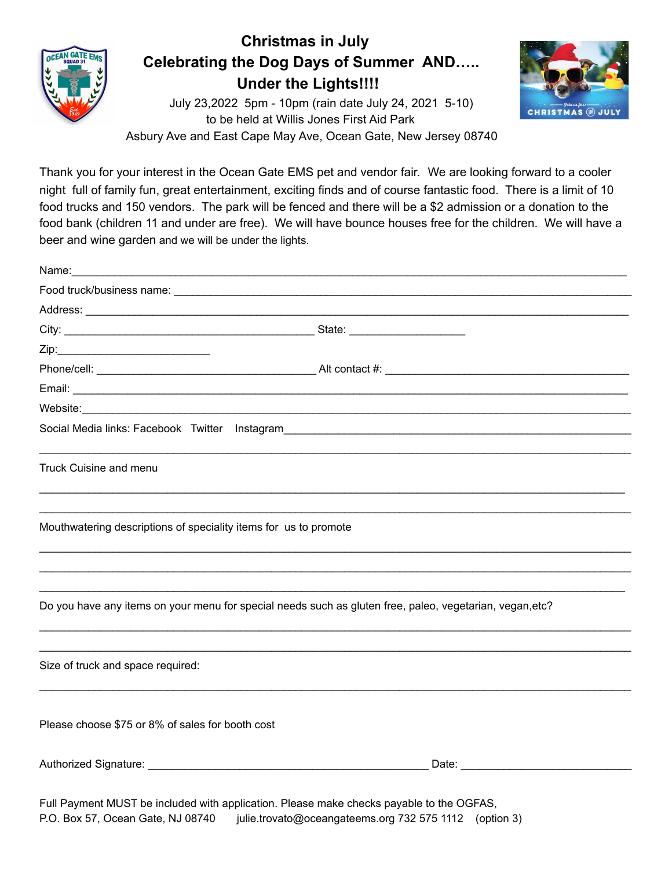

## **Christmas in July Celebrating the Dog Days of Summer AND….. Under the Lights!!!!**

July 23,2022 5pm - 10pm (rain date July 24, 2021 5-10) to be held at Willis Jones First Aid Park Asbury Ave and East Cape May Ave, Ocean Gate, New Jersey 08740



Thank you for your interest in the Ocean Gate EMS pet and vendor fair. We are looking forward to a cooler night full of family fun, great entertainment, exciting finds and of course fantastic food. There is a limit of 10 food trucks and 150 vendors. The park will be fenced and there will be a \$2 admission or a donation to the food bank (children 11 and under are free). We will have bounce houses free for the children. We will have a beer and wine garden and we will be under the lights.

| Name: Name: Name: Name: Name: Name: Name: Name: Name: Name: Name: Name: Name: Name: Name: Name: Name: Name: Name: Name: Name: Name: Name: Name: Name: Name: Name: Name: Name: Name: Name: Name: Name: Name: Name: Name: Name: |                                                                                                          |
|-------------------------------------------------------------------------------------------------------------------------------------------------------------------------------------------------------------------------------|----------------------------------------------------------------------------------------------------------|
|                                                                                                                                                                                                                               |                                                                                                          |
|                                                                                                                                                                                                                               |                                                                                                          |
|                                                                                                                                                                                                                               |                                                                                                          |
|                                                                                                                                                                                                                               |                                                                                                          |
|                                                                                                                                                                                                                               |                                                                                                          |
|                                                                                                                                                                                                                               |                                                                                                          |
| Website: www.communication.com/website/                                                                                                                                                                                       |                                                                                                          |
|                                                                                                                                                                                                                               |                                                                                                          |
| Truck Cuisine and menu                                                                                                                                                                                                        |                                                                                                          |
| Mouthwatering descriptions of speciality items for us to promote                                                                                                                                                              | ,我们也不能在这里的时候,我们也不能在这里的时候,我们也不能在这里的时候,我们也不能会在这里的时候,我们也不能会在这里的时候,我们也不能会在这里的时候,我们也不能                        |
|                                                                                                                                                                                                                               | Do you have any items on your menu for special needs such as gluten free, paleo, vegetarian, vegan, etc? |
| Size of truck and space required:                                                                                                                                                                                             |                                                                                                          |
| Please choose \$75 or 8% of sales for booth cost                                                                                                                                                                              |                                                                                                          |
|                                                                                                                                                                                                                               |                                                                                                          |
|                                                                                                                                                                                                                               | بمتعادل والمتعاون والمستنبذ والمتحاول والمتحاول والمتحاول والمستنبذ والمستحدث والمستحدث                  |

Full Payment MUST be included with application. Please make checks payable to the OGFAS, P.O. Box 57, Ocean Gate, NJ 08740 julie.trovato@oceangateems.org 732 575 1112 (option 3)